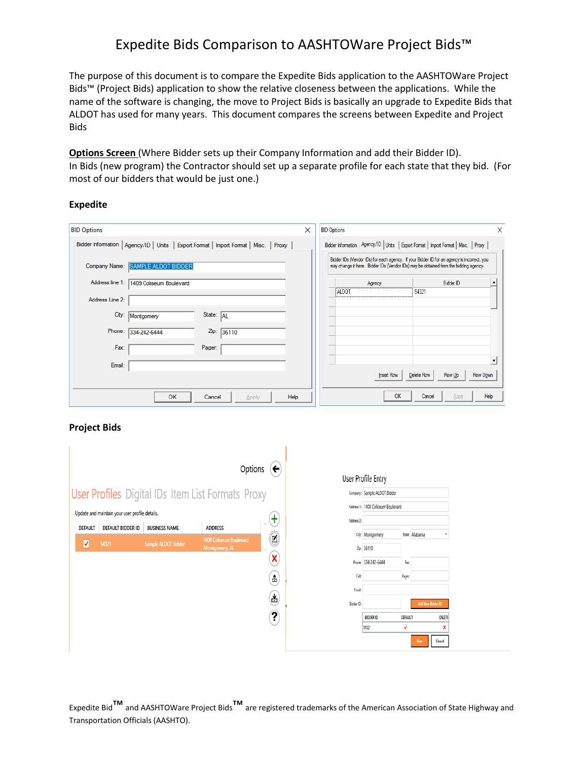The purpose of this document is to compare the Expedite Bids application to the AASHTOWare Project Bids™ (Project Bids) application to show the relative closeness between the applications. While the name of the software is changing, the move to Project Bids is basically an upgrade to Expedite Bids that ALDOT has used for many years. This document compares the screens between Expedite and Project Bids

**Options Screen** (Where Bidder sets up their Company Information and add their Bidder ID). In Bids (new program) the Contractor should set up a separate profile for each state that they bid. (For most of our bidders that would be just one.)

#### **Expedite**

| <b>BID Options</b> |                                         |                                                                                        | ×    | <b>BID Options</b> | X                                                                                                                                                                                    |
|--------------------|-----------------------------------------|----------------------------------------------------------------------------------------|------|--------------------|--------------------------------------------------------------------------------------------------------------------------------------------------------------------------------------|
|                    |                                         | Bidder Information   Agency/ID   Units   Export Format   Import Format   Misc.   Proxy |      |                    | Bidder Information Agency/ID   Units   Export Format   Import Format   Misc.   Proxy  <br>Bidder IDs (Vendor IDs) for each agency. If your Bidder ID for an agency is incorrect, you |
| Company Name:      | SAMPLE ALDOT BIDDER                     |                                                                                        |      |                    | may change it here. Bidder IDs (Vendor IDs) may be obtained from the bidding agency.                                                                                                 |
|                    | Address line 1: 1409 Coliseum Boulevard |                                                                                        |      | Agency             | Bidder ID<br>٠                                                                                                                                                                       |
| Address Line 2:    |                                         |                                                                                        |      | ALDOT              | 54321                                                                                                                                                                                |
|                    | City: Montgomery                        | State: AL                                                                              |      |                    |                                                                                                                                                                                      |
|                    | Phone: 334-242-6444                     | Zip: 36110                                                                             |      |                    |                                                                                                                                                                                      |
| Fax:               |                                         | Pager:                                                                                 |      |                    |                                                                                                                                                                                      |
| Email:             |                                         |                                                                                        |      |                    | $\blacktriangledown$                                                                                                                                                                 |
|                    |                                         |                                                                                        |      | <b>Insert Row</b>  | <b>Delete Row</b><br>Row Up<br>Row Down                                                                                                                                              |
|                    | <b>OK</b>                               | Cancel<br><b>Apply</b>                                                                 | Help | OK                 | Help<br>Cancel<br>Apply                                                                                                                                                              |

### **Project Bids**



|                        | Jser Profile Entry                 |                 |                          |               |
|------------------------|------------------------------------|-----------------|--------------------------|---------------|
|                        | Company: Sample ALDOT Bidder       |                 |                          |               |
|                        | Address 1: 1409 Coliseum Boulevard |                 |                          |               |
| Address <sub>2</sub> : |                                    |                 |                          |               |
|                        | City: Montgomery                   |                 | State: Alabama           |               |
|                        | Zip: 36110                         |                 |                          |               |
|                        | Phone: 334-242-6444                | Fac             |                          |               |
| GHL                    |                                    | Pager:          |                          |               |
| <b>Freak</b>           |                                    |                 |                          |               |
| Bidder ID:             |                                    |                 | <b>Add New Bidder ID</b> |               |
|                        | <b>BIDDER ID</b>                   | <b>DEFAULT?</b> |                          | <b>DELETE</b> |
|                        | 54321                              | ٧               |                          | x             |
|                        |                                    |                 | Save                     | Cancel        |
|                        |                                    |                 |                          |               |

Expedite Bid™and AASHTOWare Project Bids™are registered trademarks of the American Association of State Highway and Transportation Officials (AASHTO).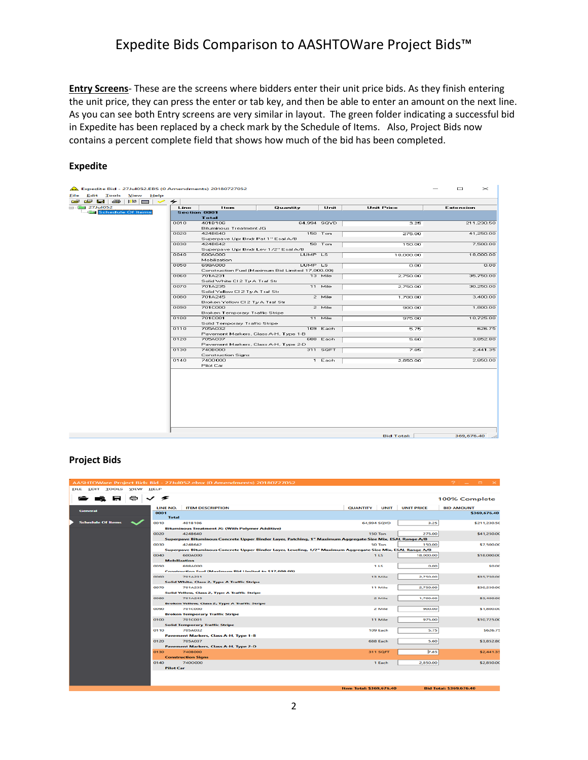**Entry Screens**- These are the screens where bidders enter their unit price bids. As they finish entering the unit price, they can press the enter or tab key, and then be able to enter an amount on the next line. As you can see both Entry screens are very similar in layout. The green folder indicating a successful bid in Expedite has been replaced by a check mark by the Schedule of Items. Also, Project Bids now contains a percent complete field that shows how much of the bid has been completed.

#### **Expedite**

| File                                                                                                                                                                                                                             |                                                                                                                                |  |      |                                               |                                                   |             |                   |                  |
|----------------------------------------------------------------------------------------------------------------------------------------------------------------------------------------------------------------------------------|--------------------------------------------------------------------------------------------------------------------------------|--|------|-----------------------------------------------|---------------------------------------------------|-------------|-------------------|------------------|
| o se establecente de la proporcional de la proporcional de la proporcional de la proporcional de la proporcion<br>De la proporcional de la proporcional de la proporcional de la proporcional de la proporcional de la proporcio |                                                                                                                                |  |      |                                               |                                                   |             |                   |                  |
| $-4.221$ ul052                                                                                                                                                                                                                   |                                                                                                                                |  | Line | Item                                          | Quantity                                          | Unit        | <b>Unit Price</b> | <b>Extension</b> |
|                                                                                                                                                                                                                                  |                                                                                                                                |  |      | <b>Section 0001</b>                           |                                                   |             |                   |                  |
|                                                                                                                                                                                                                                  | Expedite Bid - 27Jul052.EBS (0 Amendments) 20180727052<br>Edit Tools View Help<br>(2) 日   各   略   合   く チ<br>Schedule Of Items |  |      | <b>Total</b>                                  |                                                   |             |                   |                  |
|                                                                                                                                                                                                                                  |                                                                                                                                |  | 0010 | 4018106                                       |                                                   | 64,994 SQYD | 3.25              | 211,230.50       |
|                                                                                                                                                                                                                                  |                                                                                                                                |  |      | <b>Bituminous Treatment JG</b>                |                                                   |             |                   |                  |
|                                                                                                                                                                                                                                  |                                                                                                                                |  | 0020 | 424B640                                       |                                                   | 150 Ton     | 275.00            | 41,250.00        |
|                                                                                                                                                                                                                                  |                                                                                                                                |  | 0030 | Superpave Upr Bndr Pat 1" Esal A/B<br>424B642 |                                                   | $50$ Ton    |                   | 7,500.00         |
|                                                                                                                                                                                                                                  |                                                                                                                                |  |      |                                               | Superpave Upr Bndr Lev 1/2" Esal A/B              |             | 150.00            |                  |
|                                                                                                                                                                                                                                  |                                                                                                                                |  | 0040 | 6004000                                       |                                                   | LUMP LS     | 18,000.00         | 18,000.00        |
|                                                                                                                                                                                                                                  |                                                                                                                                |  |      | Mobilization                                  |                                                   |             |                   |                  |
|                                                                                                                                                                                                                                  |                                                                                                                                |  | 0050 | 698A000                                       |                                                   | LUMP LS     | 0.00              | 0.00             |
|                                                                                                                                                                                                                                  |                                                                                                                                |  |      |                                               | Construction Fuel (Maximum Bid Limited 17,000.00) |             |                   |                  |
|                                                                                                                                                                                                                                  |                                                                                                                                |  | 0060 | 701A231                                       |                                                   | 13 Mile     | 2.750.00          | 35,750.00        |
|                                                                                                                                                                                                                                  |                                                                                                                                |  |      | Solid White CI 2 Ty A Traf Str                |                                                   |             |                   |                  |
|                                                                                                                                                                                                                                  |                                                                                                                                |  | 0070 | 701A235                                       |                                                   | 11 Mile     | 2.750.00          | 30,250.00        |
|                                                                                                                                                                                                                                  |                                                                                                                                |  |      | Solid Yellow CI 2 Ty A Traf Str               |                                                   |             |                   |                  |
|                                                                                                                                                                                                                                  |                                                                                                                                |  | 0080 | 701A245                                       |                                                   | 2 Mile      | 1,700.00          | 3,400,00         |
|                                                                                                                                                                                                                                  |                                                                                                                                |  |      | Broken Yellow CI 2 Ty A Traf Str              |                                                   |             |                   |                  |
|                                                                                                                                                                                                                                  |                                                                                                                                |  | 0090 | 701C000                                       |                                                   | 2 Mile      | 900.00            | 1,800.00         |
|                                                                                                                                                                                                                                  |                                                                                                                                |  |      | <b>Broken Temporary Traffic Stripe</b>        |                                                   |             |                   |                  |
|                                                                                                                                                                                                                                  |                                                                                                                                |  | 0100 | <b>701C001</b>                                |                                                   | 11 Mile     | 975.00            | 10,725.00        |
|                                                                                                                                                                                                                                  |                                                                                                                                |  |      | Solid Temporary Traffic Stripe                |                                                   |             |                   |                  |
|                                                                                                                                                                                                                                  |                                                                                                                                |  | 0110 | 705A032                                       |                                                   | 109 Each    | 5.75              | 626.75           |
|                                                                                                                                                                                                                                  |                                                                                                                                |  |      |                                               | Pavement Markers, Class A-H, Type 1-B             |             |                   |                  |
|                                                                                                                                                                                                                                  |                                                                                                                                |  | 0120 | 705A037                                       |                                                   | 688 Each    | 5.60              | 3,852.80         |
|                                                                                                                                                                                                                                  |                                                                                                                                |  |      |                                               | Pavement Markers, Class A-H, Type 2-D             |             |                   |                  |
|                                                                                                                                                                                                                                  |                                                                                                                                |  | 0130 | 740B000                                       |                                                   | 311 SQFT    | 7.85              | 2,441.35         |
|                                                                                                                                                                                                                                  |                                                                                                                                |  | 0140 | <b>Construction Signs</b><br>7400000          |                                                   |             |                   | 2,850.00         |
|                                                                                                                                                                                                                                  |                                                                                                                                |  |      | Pilot Car                                     |                                                   | 1 Each      | 2,850.00          |                  |
|                                                                                                                                                                                                                                  |                                                                                                                                |  |      |                                               |                                                   |             |                   |                  |
|                                                                                                                                                                                                                                  |                                                                                                                                |  |      |                                               |                                                   |             |                   |                  |
|                                                                                                                                                                                                                                  |                                                                                                                                |  |      |                                               |                                                   |             |                   |                  |
|                                                                                                                                                                                                                                  |                                                                                                                                |  |      |                                               |                                                   |             |                   |                  |
|                                                                                                                                                                                                                                  |                                                                                                                                |  |      |                                               |                                                   |             |                   |                  |
|                                                                                                                                                                                                                                  |                                                                                                                                |  |      |                                               |                                                   |             |                   |                  |
|                                                                                                                                                                                                                                  |                                                                                                                                |  |      |                                               |                                                   |             |                   |                  |
|                                                                                                                                                                                                                                  |                                                                                                                                |  |      |                                               |                                                   |             |                   |                  |
|                                                                                                                                                                                                                                  |                                                                                                                                |  |      |                                               |                                                   |             |                   |                  |
|                                                                                                                                                                                                                                  |                                                                                                                                |  |      |                                               |                                                   |             |                   |                  |
|                                                                                                                                                                                                                                  |                                                                                                                                |  |      |                                               |                                                   |             |                   |                  |
|                                                                                                                                                                                                                                  |                                                                                                                                |  |      |                                               |                                                   |             | <b>Bid Total:</b> | 369,676.40       |

### **Project Bids**

|                                |    |                  | AASHTOWare Project Bids Bid - 27Jul052.ebsx (0 Amendments) 20180727052                                      |  |                 |                 |                   | $21 - 5 \times$   |          |
|--------------------------------|----|------------------|-------------------------------------------------------------------------------------------------------------|--|-----------------|-----------------|-------------------|-------------------|----------|
| EILE EDIT IOOLS VIEW HELP      |    |                  |                                                                                                             |  |                 |                 |                   |                   |          |
|                                | Q. | ≁                |                                                                                                             |  |                 |                 |                   | 100% Complete     |          |
|                                |    | LINE NO.         | <b>ITEM DESCRIPTION</b>                                                                                     |  | <b>QUANTITY</b> | <b>UNIT</b>     | <b>UNIT PRICE</b> | <b>BID AMOUNT</b> |          |
| <b><i><u>Commerzal</u></i></b> |    | 0001             |                                                                                                             |  |                 |                 |                   | \$369,676.40      |          |
| <b>Schedule Of Items</b>       |    | <b>Total</b>     |                                                                                                             |  |                 |                 |                   |                   |          |
|                                |    | 0010             | 4018106<br><b>Bituminous Treatment JG (With Polymer Additive)</b>                                           |  | 64,994 SQVD     |                 | 3.25              | \$211,230.5C      |          |
|                                |    | 0020             | 4248640                                                                                                     |  |                 | <b>150 Ton</b>  | 275,00            | \$41,250.00       |          |
|                                |    |                  | Superpave Bituminous Concrete Upper Binder Layer, Patching, 1" Maximum Aggregate Size Mix, ESAL Range A/B   |  |                 |                 |                   |                   |          |
|                                |    | 0030             | 4248642                                                                                                     |  |                 | 50 Ton          | 150.00            | \$7,500.00        |          |
|                                |    |                  | Superpave Bituminous Concrete Upper Binder Layer, Leveling, 1/2" Maximum Aggregate Size Mix, ESAL Range A/B |  |                 |                 |                   |                   |          |
|                                |    | 0040             | <b>600A000</b>                                                                                              |  |                 | 1LS             | 18,000.00         | \$18,000.00       |          |
|                                |    |                  | <b>Mobilization</b>                                                                                         |  |                 |                 |                   |                   |          |
|                                |    | 0050             | 698A000                                                                                                     |  |                 | 1 LS            | 0.00              |                   | \$0.0C   |
|                                |    |                  | <b>Construction Fuel (Maximum Bid Limited to \$17,000.00)</b>                                               |  |                 |                 |                   |                   |          |
|                                |    | 0060             | 701A231                                                                                                     |  |                 | 13 Mile         | 2,750.00          | \$35,750.00       |          |
|                                |    |                  | Solid White, Class 2, Type A Traffic Stripe                                                                 |  |                 |                 |                   |                   |          |
|                                |    | 0070             | 701A235                                                                                                     |  |                 | 11 Mile         | 2,750.00          | \$30,250.00       |          |
|                                |    |                  | Solid Yellow, Class 2, Type A Traffic Stripe                                                                |  |                 |                 |                   |                   |          |
|                                |    | 0080             | <b>701A245</b>                                                                                              |  |                 | 2 Mile          | 1,700.00          | \$3,400.00        |          |
|                                |    | 0090             | <b>Broken Yellow, Class 2, Type A Traffic Stripe</b><br>701C000                                             |  |                 |                 | 900.00            | \$1,800.00        |          |
|                                |    |                  | <b>Broken Temporary Traffic Stripe</b>                                                                      |  |                 | 2 Mile          |                   |                   |          |
|                                |    | 0100             | <b>701C001</b>                                                                                              |  |                 | 11 Mile         | 975.00            | \$10,725.00       |          |
|                                |    |                  | <b>Solid Temporary Traffic Stripe</b>                                                                       |  |                 |                 |                   |                   |          |
|                                |    | 0110             | 705A032                                                                                                     |  |                 | 109 Each        | 5.75              |                   | \$626.75 |
|                                |    |                  | Pavement Markers, Class A-H, Type 1-B                                                                       |  |                 |                 |                   |                   |          |
|                                |    | 0120             | 705A037                                                                                                     |  |                 | 688 Each        | 5.60              | \$3,852.80        |          |
|                                |    |                  | <b>Pavement Markers, Class A-H, Type 2-D</b>                                                                |  |                 |                 |                   |                   |          |
|                                |    | 0130             | 7408000                                                                                                     |  |                 | <b>311 SOFT</b> | 7.85              | \$2,441.35        |          |
|                                |    |                  | <b>Construction Signs</b>                                                                                   |  |                 |                 |                   |                   |          |
|                                |    | 0140             | 7400000                                                                                                     |  |                 | 1 Each          | 2,850.00          | \$2,850.00        |          |
|                                |    | <b>Pilot Car</b> |                                                                                                             |  |                 |                 |                   |                   |          |
|                                |    |                  |                                                                                                             |  |                 |                 |                   |                   |          |
|                                |    |                  |                                                                                                             |  |                 |                 |                   |                   |          |

m Total: \$369,676.40

**Bid Total: \$369,676.40**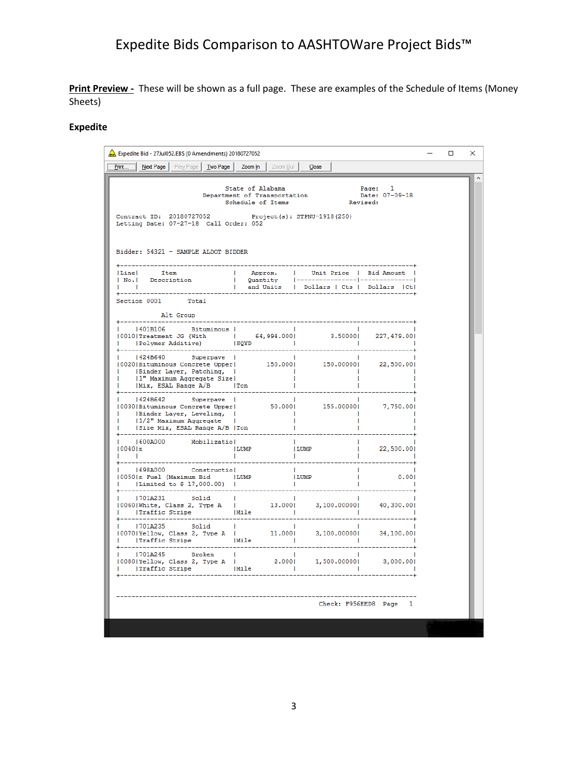Print Preview - These will be shown as a full page. These are examples of the Schedule of Items (Money Sheets)

## **Expedite**

| Expedite Bid - 27Jul052.EBS (0 Amendments) 20180727052                                                                                                                                                                                                                                                              |                                      |                                                                                                                                                                                                                                                                                                                                                                                  |                                                      | $\Box$ | $\times$ |
|---------------------------------------------------------------------------------------------------------------------------------------------------------------------------------------------------------------------------------------------------------------------------------------------------------------------|--------------------------------------|----------------------------------------------------------------------------------------------------------------------------------------------------------------------------------------------------------------------------------------------------------------------------------------------------------------------------------------------------------------------------------|------------------------------------------------------|--------|----------|
| Print<br>Next Page   Prey Page   Two Page   Zoom In                                                                                                                                                                                                                                                                 |                                      | Zoom Out Close                                                                                                                                                                                                                                                                                                                                                                   |                                                      |        |          |
| Contract ID: 20180727052<br>Letting Date: 07-27-18 Call Order: 052<br>Bidder: 54321 - SAMPLE ALDOT BIDDER                                                                                                                                                                                                           | Schedule of Items                    | $\begin{tabular}{llllll} \multicolumn{2}{l}{{\small\texttt{State of Alabama}}} & \multicolumn{2}{l}{Page:} & 1 & \\ \multicolumn{2}{l}{\small\texttt{Department of Transportation}} & \multicolumn{2}{l}{\small\texttt{Date: 07--09--18}} \\ & \multicolumn{2}{l}{Scheduling of Items} & \multicolumn{2}{l}{\small\texttt{Review}} \end{tabular}$<br>Project(s): STPNU-1918(250) |                                                      |        | A        |
| Line  Item<br>  No.  Description<br><b>In the Committee Committee</b>                                                                                                                                                                                                                                               |                                      | Approx.   Unit-Price   Bid-Amount  <br>  Quantity  --------------- -------------- <br>  and-Units   Dollars   Cts   Dollars   Ctl                                                                                                                                                                                                                                                |                                                      |        |          |
| Section 0001 Total<br>Alt Group                                                                                                                                                                                                                                                                                     |                                      |                                                                                                                                                                                                                                                                                                                                                                                  |                                                      |        |          |
| --------------<br>   401B106 Bituminous  <br>  1901<br>  19010 Treatment JG (With $\begin{array}{ c c c c c c c c } \hline \text{1} & & & & & & \text{1} \\ \hline \text{10010} \text{Treatment JG (With} & & & & & \text{3.50000} & 227,479.001 & \\ \hline \text{1} & & & & & & \text{1} & \\ \hline \end{array}$ | <b>Contract District</b>             |                                                                                                                                                                                                                                                                                                                                                                                  |                                                      |        |          |
| 424B640 Superpave  <br>100201Bituminous Concrete Upper   150.0000   150.00000   22,500.00<br>    Binder Layer, Patching,  <br>     1" Maximum Aqqreqate Size <br> Mix, ESAL Range A/B   Ton                                                                                                                         | $\sim$ 100 $\pm$<br>and the Contract |                                                                                                                                                                                                                                                                                                                                                                                  |                                                      |        |          |
| 424B642 Superpave<br>1<br>10030 Bituminous Concrete Upper  50.000  155.00000  7,750.00 <br>1  Binder Layer, Leveling,   1<br>12" Maximum Accrecate   1<br>1/2" Maximum Aggregate<br> Size Mix, ESAL Range A/B  Ton                                                                                                  |                                      |                                                                                                                                                                                                                                                                                                                                                                                  |                                                      |        |          |
| 600A000 Mobilizatio   <br> 0040 n  LUMP  LUMP  LUMP<br>!  <br>$\mathbf{I}$ $\mathbf{I}$                                                                                                                                                                                                                             | <b>The Common</b>                    | - 11<br>and the state                                                                                                                                                                                                                                                                                                                                                            | $\begin{bmatrix} 1 & 1 \\ 2 & 500.001 \end{bmatrix}$ |        |          |
| 1698A000 Constructio <br> 0050 n Fuel (Maximum Bid 1LUMP<br>    Limited to \$ 17,000.00)  <br>--------------------                                                                                                                                                                                                  |                                      | <b>The Contract</b><br>$\sim 1$<br>LUMP<br><b>COL</b>                                                                                                                                                                                                                                                                                                                            | 0.001                                                |        |          |
|                                                                                                                                                                                                                                                                                                                     |                                      |                                                                                                                                                                                                                                                                                                                                                                                  |                                                      |        |          |
| 701A235 Solid                                                                                                                                                                                                                                                                                                       | $\sim$ 100 $\pm$                     |                                                                                                                                                                                                                                                                                                                                                                                  |                                                      |        |          |
| 1701A245 Broken                                                                                                                                                                                                                                                                                                     |                                      |                                                                                                                                                                                                                                                                                                                                                                                  | 3,000.00                                             |        |          |
|                                                                                                                                                                                                                                                                                                                     |                                      |                                                                                                                                                                                                                                                                                                                                                                                  | Check: F956EED8 Page 1                               |        |          |
|                                                                                                                                                                                                                                                                                                                     |                                      |                                                                                                                                                                                                                                                                                                                                                                                  |                                                      |        |          |